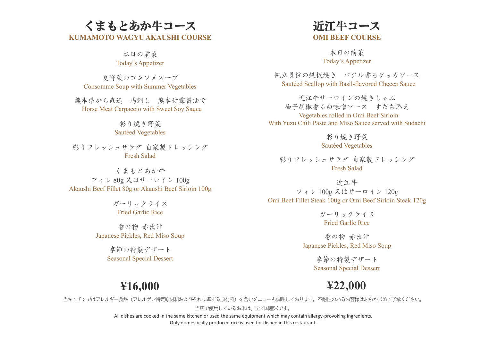## くまもとあか牛コース **KUMAMOTO WAGYU AKAUSHI COURSE**

本日の前菜 Today's Appetizer

夏野菜のコンソメスープ Consomme Soup with Summer Vegetables

熊本県から直送 馬刺し 熊本甘露醤油で Horse Meat Carpaccio with Sweet Soy Sauce

> 彩り焼き野菜 Sautéed Vegetables

彩りフレッシュサラダ 自家製ドレッシング Fresh Salad

くまもとあか牛 フィレ 80g 又はサーロイン 100g Akaushi Beef Fillet 80g or Akaushi Beef Sirloin 100g

> ガーリックライス Fried Garlic Rice

香の物 赤出汁 Japanese Pickles, Red Miso Soup

> 季節の特製デザート Seasonal Special Dessert

## 近江牛コース **OMI BEEF COURSE**

本日の前菜 Today's Appetizer

帆立貝柱の鉄板焼き バジル香るケッカソース Sautéed Scallop with Basil-flavored Checca Sauce

近江牛サーロインの焼きしゃぶ 柚子胡椒香る白味噌ソース すだち添え Vegetables rolled in Omi Beef Sirloin With Yuzu Chili Paste and Miso Sauce served with Sudachi

> 彩り焼き野菜 Sautéed Vegetables

彩りフレッシュサラダ 自家製ドレッシング Fresh Salad

近江牛 フィレ 100g 又はサーロイン 120g Omi Beef Fillet Steak 100g or Omi Beef Sirloin Steak 120g

> ガーリックライス Fried Garlic Rice

香の物 赤出汁 Japanese Pickles, Red Miso Soup

> 季節の特製デザート Seasonal Special Dessert

## **¥16,000**

**¥22,000**

当キッチンではアレルギー食品(アレルゲン特定原材料およびそれに準ずる原材料)を含むメニューも調理しております。不耐性のあるお客様はあらかじめご了承ください。

当店で使用しているお米は、全て国産米です。

All dishes are cooked in the same kitchen or used the same equipment which may contain allergy-provoking ingredients. Only domestically produced rice is used for dished in this restaurant.